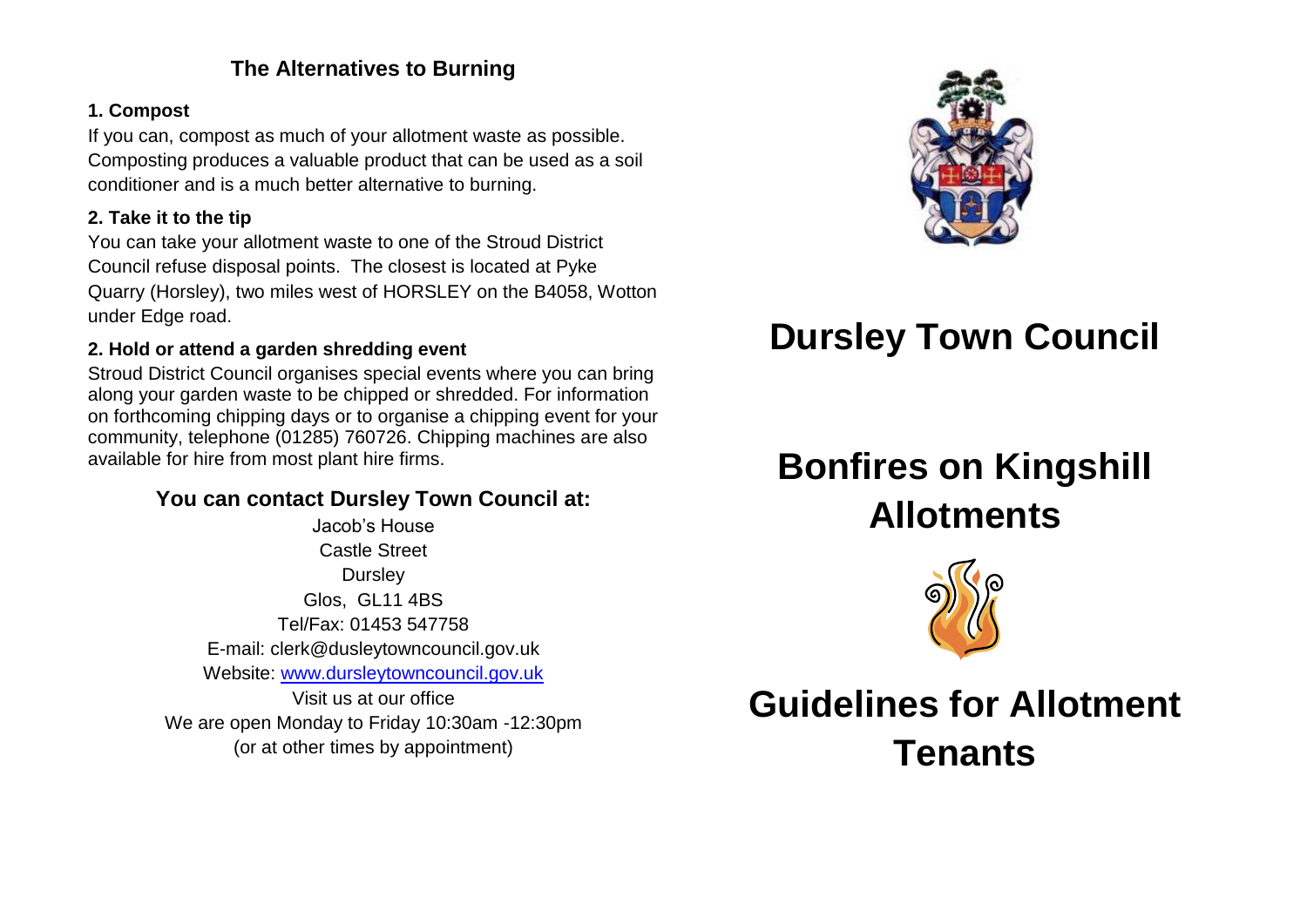### **The Alternatives to Burning**

#### **1. Compost**

If you can, compost as much of your allotment waste as possible. Composting produces a valuable product that can be used as a soil conditioner and is a much better alternative to burning.

#### **2. Take it to the tip**

You can take your allotment waste to one of the Stroud District Council refuse disposal points. The closest is located at Pyke Quarry (Horsley), two miles west of HORSLEY on the B4058, Wotton under Edge road.

#### **2. Hold or attend a garden shredding event**

Stroud District Council organises special events where you can bring along your garden waste to be chipped or shredded. For information on forthcoming chipping days or to organise a chipping event for your community, telephone (01285) 760726. Chipping machines are also available for hire from most plant hire firms.

## **You can contact Dursley Town Council at:**

Jacob's House Castle Street **Dursley** Glos, GL11 4BS Tel/Fax: 01453 547758 E-mail: clerk@dusleytowncouncil.gov.uk Website: [www.dursleytowncouncil.gov.uk](http://www.dursleytowncouncil.gov.uk/) Visit us at our office We are open Monday to Friday 10:30am -12:30pm (or at other times by appointment)



## **Dursley Town Council**

# **Bonfires on Kingshill Allotments**



**Guidelines for Allotment Tenants**